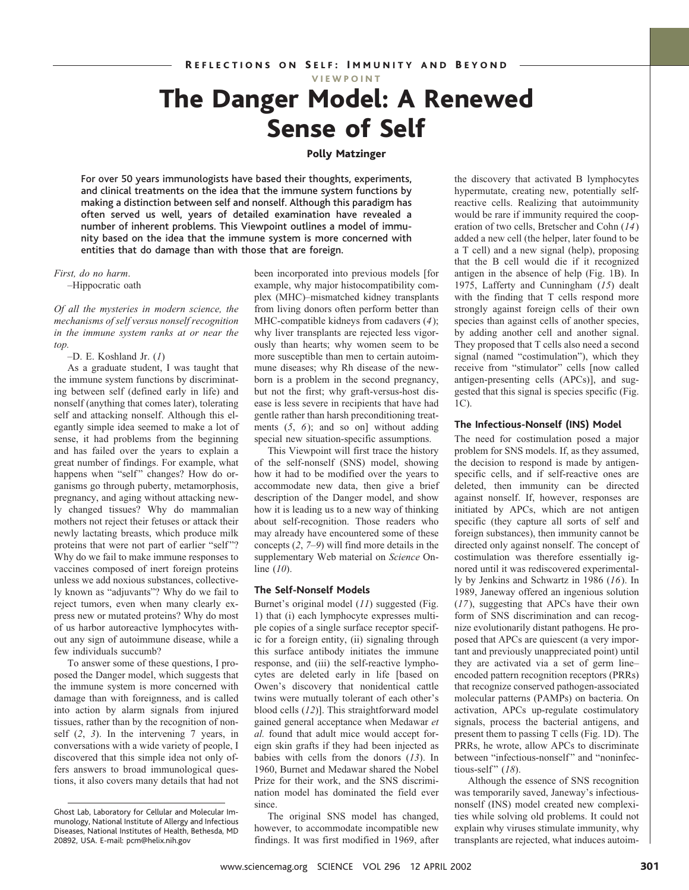VIEWPOINT

# The Danger Model: A Renewed Sense of Self

## Polly Matzinger

For over 50 years immunologists have based their thoughts, experiments, and clinical treatments on the idea that the immune system functions by making a distinction between self and nonself. Although this paradigm has often served us well, years of detailed examination have revealed a number of inherent problems. This Viewpoint outlines a model of immunity based on the idea that the immune system is more concerned with entities that do damage than with those that are foreign.

#### *First, do no harm*. –Hippocratic oath

*Of all the mysteries in modern science, the mechanisms of self versus nonself recognition in the immune system ranks at or near the top.*

–D. E. Koshland Jr. (*1*)

As a graduate student, I was taught that the immune system functions by discriminating between self (defined early in life) and nonself (anything that comes later), tolerating self and attacking nonself. Although this elegantly simple idea seemed to make a lot of sense, it had problems from the beginning and has failed over the years to explain a great number of findings. For example, what happens when "self" changes? How do organisms go through puberty, metamorphosis, pregnancy, and aging without attacking newly changed tissues? Why do mammalian mothers not reject their fetuses or attack their newly lactating breasts, which produce milk proteins that were not part of earlier "self"? Why do we fail to make immune responses to vaccines composed of inert foreign proteins unless we add noxious substances, collectively known as "adjuvants"? Why do we fail to reject tumors, even when many clearly express new or mutated proteins? Why do most of us harbor autoreactive lymphocytes without any sign of autoimmune disease, while a few individuals succumb?

To answer some of these questions, I proposed the Danger model, which suggests that the immune system is more concerned with damage than with foreignness, and is called into action by alarm signals from injured tissues, rather than by the recognition of nonself (*2*, *3*). In the intervening 7 years, in conversations with a wide variety of people, I discovered that this simple idea not only offers answers to broad immunological questions, it also covers many details that had not been incorporated into previous models [for example, why major histocompatibility complex (MHC)–mismatched kidney transplants from living donors often perform better than MHC-compatible kidneys from cadavers (*4*); why liver transplants are rejected less vigorously than hearts; why women seem to be more susceptible than men to certain autoimmune diseases; why Rh disease of the newborn is a problem in the second pregnancy, but not the first; why graft-versus-host disease is less severe in recipients that have had gentle rather than harsh preconditioning treatments (*5*, *6*); and so on] without adding special new situation-specific assumptions.

This Viewpoint will first trace the history of the self-nonself (SNS) model, showing how it had to be modified over the years to accommodate new data, then give a brief description of the Danger model, and show how it is leading us to a new way of thinking about self-recognition. Those readers who may already have encountered some of these concepts (*2*, *7*–*9*) will find more details in the supplementary Web material on *Science* Online (*10*).

#### **The Self-Nonself Models**

Burnet's original model (*11*) suggested (Fig. 1) that (i) each lymphocyte expresses multiple copies of a single surface receptor specific for a foreign entity, (ii) signaling through this surface antibody initiates the immune response, and (iii) the self-reactive lymphocytes are deleted early in life [based on Owen's discovery that nonidentical cattle twins were mutually tolerant of each other's blood cells (*12*)]. This straightforward model gained general acceptance when Medawar *et al.* found that adult mice would accept foreign skin grafts if they had been injected as babies with cells from the donors (*13*). In 1960, Burnet and Medawar shared the Nobel Prize for their work, and the SNS discrimination model has dominated the field ever since.

The original SNS model has changed, however, to accommodate incompatible new findings. It was first modified in 1969, after the discovery that activated B lymphocytes hypermutate, creating new, potentially selfreactive cells. Realizing that autoimmunity would be rare if immunity required the cooperation of two cells, Bretscher and Cohn (*14*) added a new cell (the helper, later found to be a T cell) and a new signal (help), proposing that the B cell would die if it recognized antigen in the absence of help (Fig. 1B). In 1975, Lafferty and Cunningham (*15*) dealt with the finding that T cells respond more strongly against foreign cells of their own species than against cells of another species, by adding another cell and another signal. They proposed that T cells also need a second signal (named "costimulation"), which they receive from "stimulator" cells [now called antigen-presenting cells (APCs)], and suggested that this signal is species specific (Fig. 1C).

### **The Infectious-Nonself (INS) Model**

The need for costimulation posed a major problem for SNS models. If, as they assumed, the decision to respond is made by antigenspecific cells, and if self-reactive ones are deleted, then immunity can be directed against nonself. If, however, responses are initiated by APCs, which are not antigen specific (they capture all sorts of self and foreign substances), then immunity cannot be directed only against nonself. The concept of costimulation was therefore essentially ignored until it was rediscovered experimentally by Jenkins and Schwartz in 1986 (*16*). In 1989, Janeway offered an ingenious solution (*17*), suggesting that APCs have their own form of SNS discrimination and can recognize evolutionarily distant pathogens. He proposed that APCs are quiescent (a very important and previously unappreciated point) until they are activated via a set of germ line– encoded pattern recognition receptors (PRRs) that recognize conserved pathogen-associated molecular patterns (PAMPs) on bacteria. On activation, APCs up-regulate costimulatory signals, process the bacterial antigens, and present them to passing T cells (Fig. 1D). The PRRs, he wrote, allow APCs to discriminate between "infectious-nonself" and "noninfectious-self " (*18*).

Although the essence of SNS recognition was temporarily saved, Janeway's infectiousnonself (INS) model created new complexities while solving old problems. It could not explain why viruses stimulate immunity, why transplants are rejected, what induces autoim-

Ghost Lab, Laboratory for Cellular and Molecular Immunology, National Institute of Allergy and Infectious Diseases, National Institutes of Health, Bethesda, MD 20892, USA. E-mail: pcm@helix.nih.gov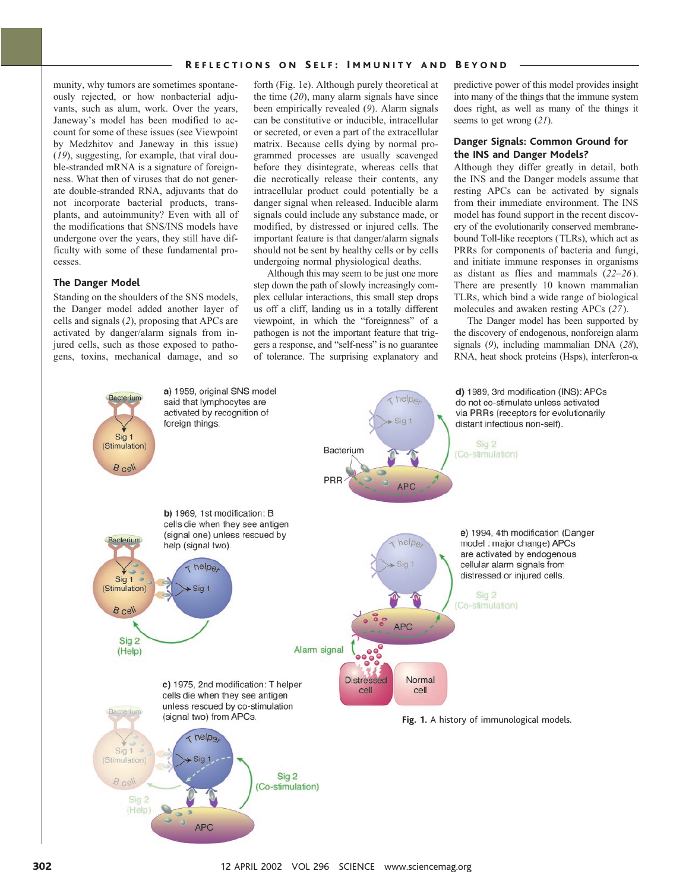munity, why tumors are sometimes spontaneously rejected, or how nonbacterial adjuvants, such as alum, work. Over the years, Janeway's model has been modified to account for some of these issues (see Viewpoint by Medzhitov and Janeway in this issue) (*19*), suggesting, for example, that viral double-stranded mRNA is a signature of foreignness. What then of viruses that do not generate double-stranded RNA, adjuvants that do not incorporate bacterial products, transplants, and autoimmunity? Even with all of the modifications that SNS/INS models have undergone over the years, they still have difficulty with some of these fundamental processes.

### **The Danger Model**

Standing on the shoulders of the SNS models, the Danger model added another layer of cells and signals (*2*), proposing that APCs are activated by danger/alarm signals from injured cells, such as those exposed to pathogens, toxins, mechanical damage, and so forth (Fig. 1e). Although purely theoretical at the time (*20*), many alarm signals have since been empirically revealed (*9*). Alarm signals can be constitutive or inducible, intracellular or secreted, or even a part of the extracellular matrix. Because cells dying by normal programmed processes are usually scavenged before they disintegrate, whereas cells that die necrotically release their contents, any intracellular product could potentially be a danger signal when released. Inducible alarm signals could include any substance made, or modified, by distressed or injured cells. The important feature is that danger/alarm signals should not be sent by healthy cells or by cells undergoing normal physiological deaths.

Although this may seem to be just one more step down the path of slowly increasingly complex cellular interactions, this small step drops us off a cliff, landing us in a totally different viewpoint, in which the "foreignness" of a pathogen is not the important feature that triggers a response, and "self-ness" is no guarantee of tolerance. The surprising explanatory and predictive power of this model provides insight into many of the things that the immune system does right, as well as many of the things it seems to get wrong (*21*).

## **Danger Signals: Common Ground for the INS and Danger Models?**

Although they differ greatly in detail, both the INS and the Danger models assume that resting APCs can be activated by signals from their immediate environment. The INS model has found support in the recent discovery of the evolutionarily conserved membranebound Toll-like receptors (TLRs), which act as PRRs for components of bacteria and fungi, and initiate immune responses in organisms as distant as flies and mammals (*22*–*26*). There are presently 10 known mammalian TLRs, which bind a wide range of biological molecules and awaken resting APCs (*27*).

The Danger model has been supported by the discovery of endogenous, nonforeign alarm signals (*9*), including mammalian DNA (*28*), RNA, heat shock proteins (Hsps), interferon- $\alpha$ 

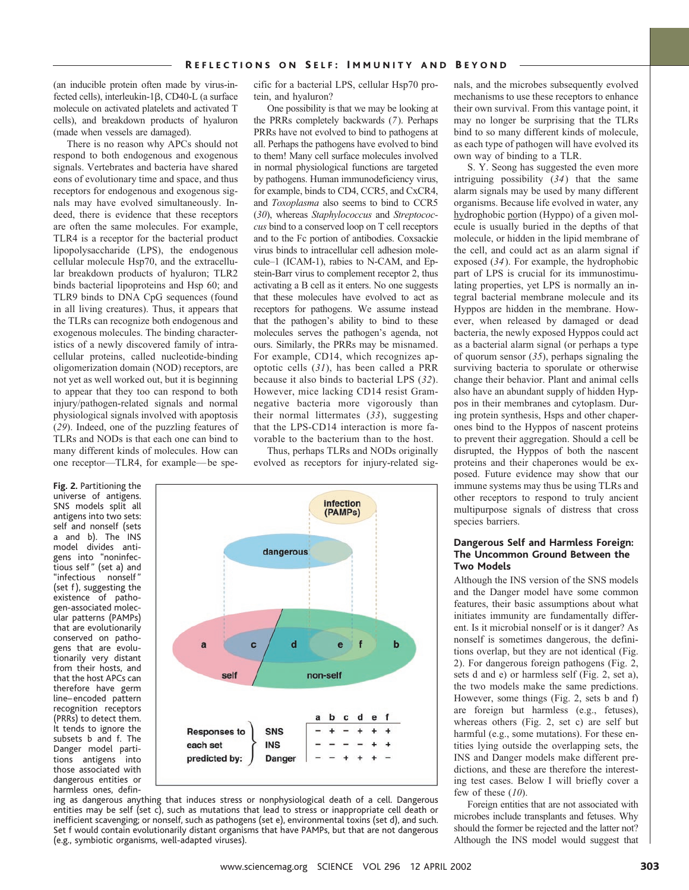(an inducible protein often made by virus-infected cells), interleukin-1 $\beta$ , CD40-L (a surface molecule on activated platelets and activated T cells), and breakdown products of hyaluron (made when vessels are damaged).

There is no reason why APCs should not respond to both endogenous and exogenous signals. Vertebrates and bacteria have shared eons of evolutionary time and space, and thus receptors for endogenous and exogenous signals may have evolved simultaneously. Indeed, there is evidence that these receptors are often the same molecules. For example, TLR4 is a receptor for the bacterial product lipopolysaccharide (LPS), the endogenous cellular molecule Hsp70, and the extracellular breakdown products of hyaluron; TLR2 binds bacterial lipoproteins and Hsp 60; and TLR9 binds to DNA CpG sequences (found in all living creatures). Thus, it appears that the TLRs can recognize both endogenous and exogenous molecules. The binding characteristics of a newly discovered family of intracellular proteins, called nucleotide-binding oligomerization domain (NOD) receptors, are not yet as well worked out, but it is beginning to appear that they too can respond to both injury/pathogen-related signals and normal physiological signals involved with apoptosis (*29*). Indeed, one of the puzzling features of TLRs and NODs is that each one can bind to many different kinds of molecules. How can one receptor—TLR4, for example—be spe-

**Fig. 2.** Partitioning the universe of antigens. SNS models split all antigens into two sets: self and nonself (sets a and b). The INS model divides antigens into "noninfectious self " (set a) and "infectious nonself " (set f), suggesting the existence of pathogen-associated molecular patterns (PAMPs) that are evolutionarily conserved on pathogens that are evolutionarily very distant from their hosts, and that the host APCs can therefore have germ line– encoded pattern recognition receptors (PRRs) to detect them. It tends to ignore the subsets b and f. The Danger model partitions antigens into those associated with dangerous entities or harmless ones, defincific for a bacterial LPS, cellular Hsp70 protein, and hyaluron?

One possibility is that we may be looking at the PRRs completely backwards (*7*). Perhaps PRRs have not evolved to bind to pathogens at all. Perhaps the pathogens have evolved to bind to them! Many cell surface molecules involved in normal physiological functions are targeted by pathogens. Human immunodeficiency virus, for example, binds to CD4, CCR5, and CxCR4, and *Toxoplasma* also seems to bind to CCR5 (*30*), whereas *Staphylococcus* and *Streptococcus* bind to a conserved loop on T cell receptors and to the Fc portion of antibodies. Coxsackie virus binds to intracellular cell adhesion molecule–1 (ICAM-1), rabies to N-CAM, and Epstein-Barr virus to complement receptor 2, thus activating a B cell as it enters. No one suggests that these molecules have evolved to act as receptors for pathogens. We assume instead that the pathogen's ability to bind to these molecules serves the pathogen's agenda, not ours. Similarly, the PRRs may be misnamed. For example, CD14, which recognizes apoptotic cells (*31*), has been called a PRR because it also binds to bacterial LPS (*32*). However, mice lacking CD14 resist Gramnegative bacteria more vigorously than their normal littermates (*33*), suggesting that the LPS-CD14 interaction is more favorable to the bacterium than to the host.

Thus, perhaps TLRs and NODs originally evolved as receptors for injury-related sig-



ing as dangerous anything that induces stress or nonphysiological death of a cell. Dangerous entities may be self (set c), such as mutations that lead to stress or inappropriate cell death or inefficient scavenging; or nonself, such as pathogens (set e), environmental toxins (set d), and such. Set f would contain evolutionarily distant organisms that have PAMPs, but that are not dangerous (e.g., symbiotic organisms, well-adapted viruses).

nals, and the microbes subsequently evolved mechanisms to use these receptors to enhance their own survival. From this vantage point, it may no longer be surprising that the TLRs bind to so many different kinds of molecule, as each type of pathogen will have evolved its own way of binding to a TLR.

S. Y. Seong has suggested the even more intriguing possibility (*34*) that the same alarm signals may be used by many different organisms. Because life evolved in water, any hydrophobic portion (Hyppo) of a given molecule is usually buried in the depths of that molecule, or hidden in the lipid membrane of the cell, and could act as an alarm signal if exposed (*34*). For example, the hydrophobic part of LPS is crucial for its immunostimulating properties, yet LPS is normally an integral bacterial membrane molecule and its Hyppos are hidden in the membrane. However, when released by damaged or dead bacteria, the newly exposed Hyppos could act as a bacterial alarm signal (or perhaps a type of quorum sensor (*35*), perhaps signaling the surviving bacteria to sporulate or otherwise change their behavior. Plant and animal cells also have an abundant supply of hidden Hyppos in their membranes and cytoplasm. During protein synthesis, Hsps and other chaperones bind to the Hyppos of nascent proteins to prevent their aggregation. Should a cell be disrupted, the Hyppos of both the nascent proteins and their chaperones would be exposed. Future evidence may show that our immune systems may thus be using TLRs and other receptors to respond to truly ancient multipurpose signals of distress that cross species barriers.

#### **Dangerous Self and Harmless Foreign: The Uncommon Ground Between the Two Models**

Although the INS version of the SNS models and the Danger model have some common features, their basic assumptions about what initiates immunity are fundamentally different. Is it microbial nonself or is it danger? As nonself is sometimes dangerous, the definitions overlap, but they are not identical (Fig. 2). For dangerous foreign pathogens (Fig. 2, sets d and e) or harmless self (Fig. 2, set a), the two models make the same predictions. However, some things (Fig. 2, sets b and f) are foreign but harmless (e.g., fetuses), whereas others (Fig. 2, set c) are self but harmful (e.g., some mutations). For these entities lying outside the overlapping sets, the INS and Danger models make different predictions, and these are therefore the interesting test cases. Below I will briefly cover a few of these (*10*).

Foreign entities that are not associated with microbes include transplants and fetuses. Why should the former be rejected and the latter not? Although the INS model would suggest that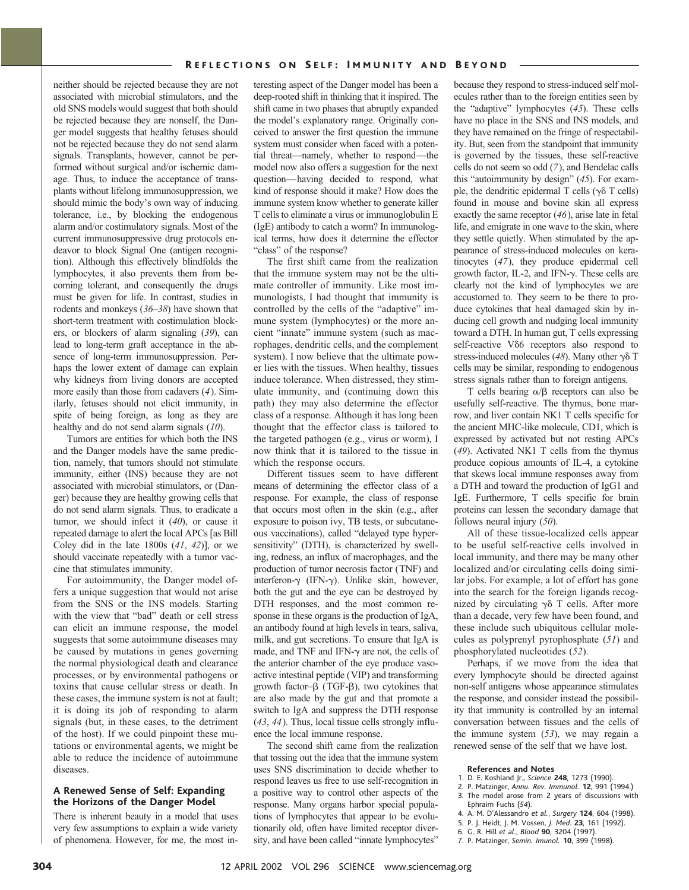neither should be rejected because they are not associated with microbial stimulators, and the old SNS models would suggest that both should be rejected because they are nonself, the Danger model suggests that healthy fetuses should not be rejected because they do not send alarm signals. Transplants, however, cannot be performed without surgical and/or ischemic damage. Thus, to induce the acceptance of transplants without lifelong immunosuppression, we should mimic the body's own way of inducing tolerance, i.e., by blocking the endogenous alarm and/or costimulatory signals. Most of the current immunosuppressive drug protocols endeavor to block Signal One (antigen recognition). Although this effectively blindfolds the lymphocytes, it also prevents them from becoming tolerant, and consequently the drugs must be given for life. In contrast, studies in rodents and monkeys (*36*–*38*) have shown that short-term treatment with costimulation blockers, or blockers of alarm signaling (*39*), can lead to long-term graft acceptance in the absence of long-term immunosuppression. Perhaps the lower extent of damage can explain why kidneys from living donors are accepted more easily than those from cadavers (*4*). Similarly, fetuses should not elicit immunity, in spite of being foreign, as long as they are healthy and do not send alarm signals (*10*).

Tumors are entities for which both the INS and the Danger models have the same prediction, namely, that tumors should not stimulate immunity, either (INS) because they are not associated with microbial stimulators, or (Danger) because they are healthy growing cells that do not send alarm signals. Thus, to eradicate a tumor, we should infect it (*40*), or cause it repeated damage to alert the local APCs [as Bill Coley did in the late 1800s (*41*, *42*)], or we should vaccinate repeatedly with a tumor vaccine that stimulates immunity.

For autoimmunity, the Danger model offers a unique suggestion that would not arise from the SNS or the INS models. Starting with the view that "bad" death or cell stress can elicit an immune response, the model suggests that some autoimmune diseases may be caused by mutations in genes governing the normal physiological death and clearance processes, or by environmental pathogens or toxins that cause cellular stress or death. In these cases, the immune system is not at fault; it is doing its job of responding to alarm signals (but, in these cases, to the detriment of the host). If we could pinpoint these mutations or environmental agents, we might be able to reduce the incidence of autoimmune diseases.

## **A Renewed Sense of Self: Expanding the Horizons of the Danger Model**

There is inherent beauty in a model that uses very few assumptions to explain a wide variety of phenomena. However, for me, the most interesting aspect of the Danger model has been a deep-rooted shift in thinking that it inspired. The shift came in two phases that abruptly expanded the model's explanatory range. Originally conceived to answer the first question the immune system must consider when faced with a potential threat—namely, whether to respond—the model now also offers a suggestion for the next question—having decided to respond, what kind of response should it make? How does the immune system know whether to generate killer T cells to eliminate a virus or immunoglobulin E (IgE) antibody to catch a worm? In immunological terms, how does it determine the effector "class" of the response?

The first shift came from the realization that the immune system may not be the ultimate controller of immunity. Like most immunologists, I had thought that immunity is controlled by the cells of the "adaptive" immune system (lymphocytes) or the more ancient "innate" immune system (such as macrophages, dendritic cells, and the complement system). I now believe that the ultimate power lies with the tissues. When healthy, tissues induce tolerance. When distressed, they stimulate immunity, and (continuing down this path) they may also determine the effector class of a response. Although it has long been thought that the effector class is tailored to the targeted pathogen (e.g., virus or worm), I now think that it is tailored to the tissue in which the response occurs.

Different tissues seem to have different means of determining the effector class of a response. For example, the class of response that occurs most often in the skin (e.g., after exposure to poison ivy, TB tests, or subcutaneous vaccinations), called "delayed type hypersensitivity" (DTH), is characterized by swelling, redness, an influx of macrophages, and the production of tumor necrosis factor (TNF) and interferon- $\gamma$  (IFN- $\gamma$ ). Unlike skin, however, both the gut and the eye can be destroyed by DTH responses, and the most common response in these organs is the production of IgA, an antibody found at high levels in tears, saliva, milk, and gut secretions. To ensure that IgA is made, and TNF and IFN- $\gamma$  are not, the cells of the anterior chamber of the eye produce vasoactive intestinal peptide (VIP) and transforming growth factor– $\beta$  (TGF- $\beta$ ), two cytokines that are also made by the gut and that promote a switch to IgA and suppress the DTH response (*43*, *44*). Thus, local tissue cells strongly influence the local immune response.

The second shift came from the realization that tossing out the idea that the immune system uses SNS discrimination to decide whether to respond leaves us free to use self-recognition in a positive way to control other aspects of the response. Many organs harbor special populations of lymphocytes that appear to be evolutionarily old, often have limited receptor diversity, and have been called "innate lymphocytes"

because they respond to stress-induced self molecules rather than to the foreign entities seen by the "adaptive" lymphocytes (*45*). These cells have no place in the SNS and INS models, and they have remained on the fringe of respectability. But, seen from the standpoint that immunity is governed by the tissues, these self-reactive cells do not seem so odd (*7*), and Bendelac calls this "autoimmunity by design" (*45*). For example, the dendritic epidermal T cells ( $\gamma \delta$  T cells) found in mouse and bovine skin all express exactly the same receptor (*46*), arise late in fetal life, and emigrate in one wave to the skin, where they settle quietly. When stimulated by the appearance of stress-induced molecules on keratinocytes (*47*), they produce epidermal cell growth factor, IL-2, and IFN- $\gamma$ . These cells are clearly not the kind of lymphocytes we are accustomed to. They seem to be there to produce cytokines that heal damaged skin by inducing cell growth and nudging local immunity toward a DTH. In human gut, T cells expressing self-reactive V<sub>06</sub> receptors also respond to stress-induced molecules (48). Many other  $\gamma \delta$  T cells may be similar, responding to endogenous stress signals rather than to foreign antigens.

T cells bearing  $\alpha/\beta$  receptors can also be usefully self-reactive. The thymus, bone marrow, and liver contain NK1 T cells specific for the ancient MHC-like molecule, CD1, which is expressed by activated but not resting APCs (*49*). Activated NK1 T cells from the thymus produce copious amounts of IL-4, a cytokine that skews local immune responses away from a DTH and toward the production of IgG1 and IgE. Furthermore, T cells specific for brain proteins can lessen the secondary damage that follows neural injury (*50*).

All of these tissue-localized cells appear to be useful self-reactive cells involved in local immunity, and there may be many other localized and/or circulating cells doing similar jobs. For example, a lot of effort has gone into the search for the foreign ligands recognized by circulating  $\gamma \delta$  T cells. After more than a decade, very few have been found, and these include such ubiquitous cellular molecules as polyprenyl pyrophosphate (*51*) and phosphorylated nucleotides (*52*).

Perhaps, if we move from the idea that every lymphocyte should be directed against non-self antigens whose appearance stimulates the response, and consider instead the possibility that immunity is controlled by an internal conversation between tissues and the cells of the immune system (*53*), we may regain a renewed sense of the self that we have lost.

#### **References and Notes**

- 1. D. E. Koshland Jr., *Science* **248**, 1273 (1990).
- 2. P. Matzinger, *Annu. Rev. Immunol.* **12**, 991 (1994.) 3. The model arose from 2 years of discussions with
- Ephraim Fuchs (*54*).
- 4. A. M. D'Alessandro *et al.*, *Surgery* **124**, 604 (1998).
- 5. P. J. Heidt, J. M. Vossen, *J. Med*. **23**, 161 (1992). 6. G. R. Hill *et al.*, *Blood* **90**, 3204 (1997).
- 7. P. Matzinger, *Semin. Imunol.* **10**, 399 (1998).